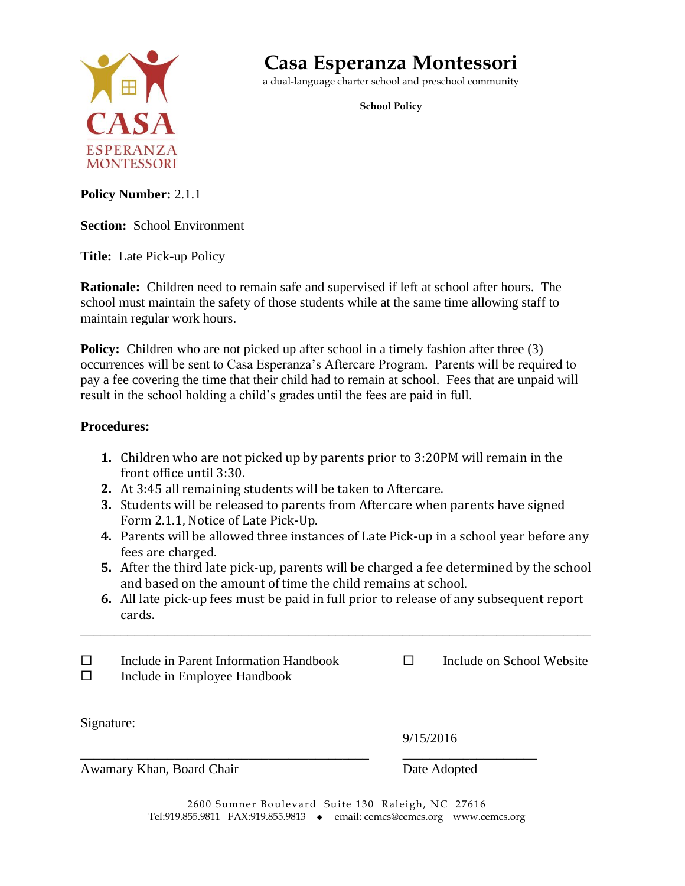

## **Casa Esperanza Montessori**

a dual-language charter school and preschool community

**School Policy**

**Policy Number:** 2.1.1

**Section:** School Environment

**Title:** Late Pick-up Policy

**Rationale:** Children need to remain safe and supervised if left at school after hours. The school must maintain the safety of those students while at the same time allowing staff to maintain regular work hours.

**Policy:** Children who are not picked up after school in a timely fashion after three (3) occurrences will be sent to Casa Esperanza's Aftercare Program. Parents will be required to pay a fee covering the time that their child had to remain at school. Fees that are unpaid will result in the school holding a child's grades until the fees are paid in full.

## **Procedures:**

- **1.** Children who are not picked up by parents prior to 3:20PM will remain in the front office until 3:30.
- **2.** At 3:45 all remaining students will be taken to Aftercare.
- **3.** Students will be released to parents from Aftercare when parents have signed Form 2.1.1, Notice of Late Pick-Up.
- **4.** Parents will be allowed three instances of Late Pick-up in a school year before any fees are charged.
- **5.** After the third late pick-up, parents will be charged a fee determined by the school and based on the amount of time the child remains at school.
- **6.** All late pick-up fees must be paid in full prior to release of any subsequent report cards.

\_\_\_\_\_\_\_\_\_\_\_\_\_\_\_\_\_\_\_\_\_\_\_\_\_\_\_\_\_\_\_\_\_\_\_\_\_\_\_\_\_\_\_\_\_\_\_\_\_\_\_\_\_\_\_\_\_\_\_\_\_\_\_\_\_\_\_\_\_\_\_\_\_\_\_\_

 $\Box$  Include in Parent Information Handbook  $\Box$  Include on School Website  $\Box$  Include in Employee Handbook

Signature:

9/15/2016

Awamary Khan, Board Chair Date Adopted

2600 Sumner Boulevard Suite 130 Raleigh, NC 27616 Tel:919.855.9811 FAX:919.855.9813 • email: cemcs@cemcs.org www.cemcs.org

\_\_\_\_\_\_\_\_\_\_\_\_\_\_\_\_\_\_\_\_\_\_\_\_\_\_\_\_\_\_\_\_\_\_\_\_\_\_\_\_\_\_\_ \_\_\_\_\_\_\_\_\_\_\_\_\_\_\_\_\_\_\_\_